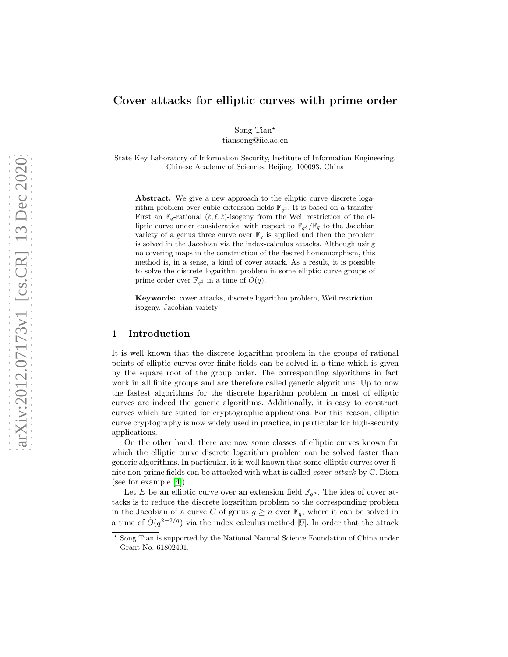# Cover attacks for elliptic curves with prime order

Song Tian<sup>\*</sup> tiansong@iie.ac.cn

State Key Laboratory of Information Security, Institute of Information Engineering, Chinese Academy of Sciences, Beijing, 100093, China

Abstract. We give a new approach to the elliptic curve discrete logarithm problem over cubic extension fields  $\mathbb{F}_{q^3}$ . It is based on a transfer: First an  $\mathbb{F}_q$ -rational  $(\ell, \ell, \ell)$ -isogeny from the Weil restriction of the elliptic curve under consideration with respect to  $\mathbb{F}_{q^3}/\mathbb{F}_q$  to the Jacobian variety of a genus three curve over  $\mathbb{F}_q$  is applied and then the problem is solved in the Jacobian via the index-calculus attacks. Although using no covering maps in the construction of the desired homomorphism, this method is, in a sense, a kind of cover attack. As a result, it is possible to solve the discrete logarithm problem in some elliptic curve groups of prime order over  $\mathbb{F}_{q^3}$  in a time of  $O(q)$ .

Keywords: cover attacks, discrete logarithm problem, Weil restriction, isogeny, Jacobian variety

### 1 Introduction

It is well known that the discrete logarithm problem in the groups of rational points of elliptic curves over finite fields can be solved in a time which is given by the square root of the group order. The corresponding algorithms in fact work in all finite groups and are therefore called generic algorithms. Up to now the fastest algorithms for the discrete logarithm problem in most of elliptic curves are indeed the generic algorithms. Additionally, it is easy to construct curves which are suited for cryptographic applications. For this reason, elliptic curve cryptography is now widely used in practice, in particular for high-security applications.

On the other hand, there are now some classes of elliptic curves known for which the elliptic curve discrete logarithm problem can be solved faster than generic algorithms. In particular, it is well known that some elliptic curves over finite non-prime fields can be attacked with what is called cover attack by C. Diem (see for example [\[4\]](#page-17-0)).

Let E be an elliptic curve over an extension field  $\mathbb{F}_{q^n}$ . The idea of cover attacks is to reduce the discrete logarithm problem to the corresponding problem in the Jacobian of a curve C of genus  $g \geq n$  over  $\mathbb{F}_q$ , where it can be solved in a time of  $\tilde{O}(q^{2-2/g})$  via the index calculus method [\[9\]](#page-17-1). In order that the attack

<sup>⋆</sup> Song Tian is supported by the National Natural Science Foundation of China under Grant No. 61802401.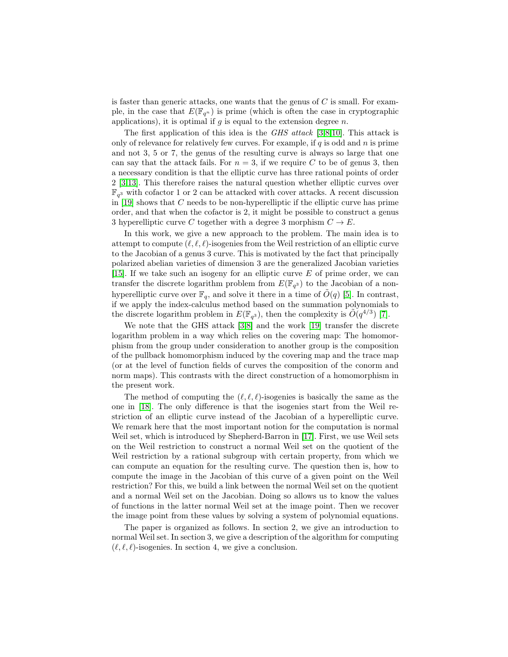is faster than generic attacks, one wants that the genus of  $C$  is small. For example, in the case that  $E(\mathbb{F}_{q^n})$  is prime (which is often the case in cryptographic applications), it is optimal if  $g$  is equal to the extension degree  $n$ .

The first application of this idea is the GHS attack [\[3,](#page-17-2)[8](#page-17-3)[,10\]](#page-17-4). This attack is only of relevance for relatively few curves. For example, if  $q$  is odd and  $n$  is prime and not 3, 5 or 7, the genus of the resulting curve is always so large that one can say that the attack fails. For  $n = 3$ , if we require C to be of genus 3, then a necessary condition is that the elliptic curve has three rational points of order 2 [\[3](#page-17-2)[,13\]](#page-17-5). This therefore raises the natural question whether elliptic curves over  $\mathbb{F}_{q^3}$  with cofactor 1 or 2 can be attacked with cover attacks. A recent discussion in  $[19]$  shows that  $C$  needs to be non-hyperelliptic if the elliptic curve has prime order, and that when the cofactor is 2, it might be possible to construct a genus 3 hyperelliptic curve C together with a degree 3 morphism  $C \to E$ .

In this work, we give a new approach to the problem. The main idea is to attempt to compute  $(\ell, \ell, \ell)$ -isogenies from the Weil restriction of an elliptic curve to the Jacobian of a genus 3 curve. This is motivated by the fact that principally polarized abelian varieties of dimension 3 are the generalized Jacobian varieties [\[15\]](#page-18-1). If we take such an isogeny for an elliptic curve  $E$  of prime order, we can transfer the discrete logarithm problem from  $E(\mathbb{F}_{q^3})$  to the Jacobian of a nonhyperelliptic curve over  $\mathbb{F}_q$ , and solve it there in a time of  $O(q)$  [\[5\]](#page-17-6). In contrast, if we apply the index-calculus method based on the summation polynomials to the discrete logarithm problem in  $E(\mathbb{F}_{q^3})$ , then the complexity is  $\tilde{O}(q^{4/3})$  [\[7\]](#page-17-7).

We note that the GHS attack [\[3](#page-17-2)[,8\]](#page-17-3) and the work [\[19\]](#page-18-0) transfer the discrete logarithm problem in a way which relies on the covering map: The homomorphism from the group under consideration to another group is the composition of the pullback homomorphism induced by the covering map and the trace map (or at the level of function fields of curves the composition of the conorm and norm maps). This contrasts with the direct construction of a homomorphism in the present work.

The method of computing the  $(\ell, \ell, \ell)$ -isogenies is basically the same as the one in [\[18\]](#page-18-2). The only difference is that the isogenies start from the Weil restriction of an elliptic curve instead of the Jacobian of a hyperelliptic curve. We remark here that the most important notion for the computation is normal Weil set, which is introduced by Shepherd-Barron in [\[17\]](#page-18-3). First, we use Weil sets on the Weil restriction to construct a normal Weil set on the quotient of the Weil restriction by a rational subgroup with certain property, from which we can compute an equation for the resulting curve. The question then is, how to compute the image in the Jacobian of this curve of a given point on the Weil restriction? For this, we build a link between the normal Weil set on the quotient and a normal Weil set on the Jacobian. Doing so allows us to know the values of functions in the latter normal Weil set at the image point. Then we recover the image point from these values by solving a system of polynomial equations.

The paper is organized as follows. In section 2, we give an introduction to normal Weil set. In section 3, we give a description of the algorithm for computing  $(\ell, \ell, \ell)$ -isogenies. In section 4, we give a conclusion.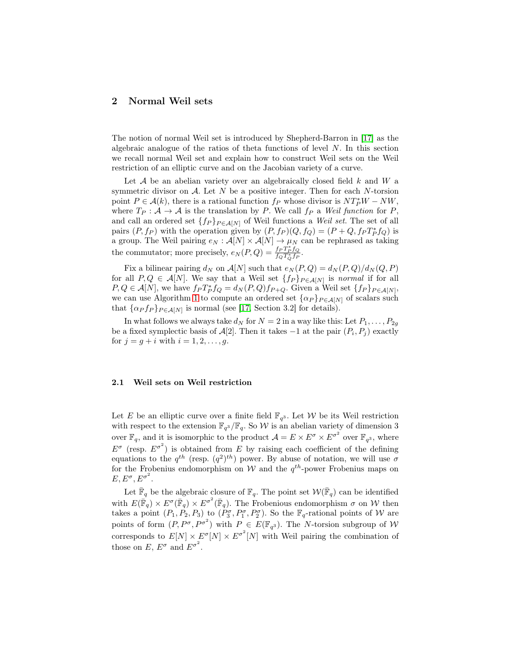## 2 Normal Weil sets

The notion of normal Weil set is introduced by Shepherd-Barron in [\[17\]](#page-18-3) as the algebraic analogue of the ratios of theta functions of level  $N$ . In this section we recall normal Weil set and explain how to construct Weil sets on the Weil restriction of an elliptic curve and on the Jacobian variety of a curve.

Let  $A$  be an abelian variety over an algebraically closed field  $k$  and  $W$  a symmetric divisor on  $A$ . Let N be a positive integer. Then for each N-torsion point  $P \in \mathcal{A}(k)$ , there is a rational function  $f_P$  whose divisor is  $NT_P^*W - NW$ , where  $T_P : A \to A$  is the translation by P. We call  $f_P$  a Weil function for P, and call an ordered set  $\{f_P\}_{P \in \mathcal{A}[N]}$  of Weil functions a Weil set. The set of all pairs  $(P, f_P)$  with the operation given by  $(P, f_P)(Q, f_Q) = (P + Q, f_P T_P^* f_Q)$  is a group. The Weil pairing  $e_N : \mathcal{A}[N] \times \mathcal{A}[N] \to \mu_N$  can be rephrased as taking the commutator; more precisely,  $e_N(P,Q) = \frac{f_P T_P^* f_Q}{f_Q T_Q^* f_P^*}$ .

Fix a bilinear pairing  $d_N$  on  $\mathcal{A}[N]$  such that  $e_N(P,Q) = d_N(P,Q)/d_N(Q,P)$ for all  $P,Q \in \mathcal{A}[N]$ . We say that a Weil set  $\{f_P\}_{P \in \mathcal{A}[N]}$  is normal if for all  $P,Q \in \mathcal{A}[N]$ , we have  $f_P T_P^* f_Q = d_N(P,Q) f_{P+Q}$ . Given a Weil set  $\{f_P\}_{P \in \mathcal{A}[N]}$ , we can use Algorithm [1](#page-2-0) to compute an ordered set  $\{\alpha_P\}_{P \in \mathcal{A}[N]}$  of scalars such that  $\{\alpha_P f_P\}_{P \in \mathcal{A}[N]}$  is normal (see [\[17,](#page-18-3) Section 3.2] for details).

<span id="page-2-0"></span>In what follows we always take  $d_N$  for  $N = 2$  in a way like this: Let  $P_1, \ldots, P_{2g}$ be a fixed symplectic basis of  $\mathcal{A}[2]$ . Then it takes  $-1$  at the pair  $(P_i, P_j)$  exactly for  $j = g + i$  with  $i = 1, 2, ..., g$ .

### 2.1 Weil sets on Weil restriction

Let E be an elliptic curve over a finite field  $\mathbb{F}_{q^3}$ . Let W be its Weil restriction with respect to the extension  $\mathbb{F}_{q^3}/\mathbb{F}_q$ . So W is an abelian variety of dimension 3 over  $\mathbb{F}_q$ , and it is isomorphic to the product  $\mathcal{A} = E \times E^{\sigma} \times E^{\sigma^2}$  over  $\mathbb{F}_{q^3}$ , where  $E^{\sigma}$  (resp.  $E^{\sigma^2}$ ) is obtained from E by raising each coefficient of the defining equations to the  $q^{th}$  (resp.  $(q^2)^{th}$ ) power. By abuse of notation, we will use  $\sigma$ for the Frobenius endomorphism on  $W$  and the  $q^{th}$ -power Frobenius maps on  $E, E^{\sigma}, E^{\sigma^2}.$ 

Let  $\bar{\mathbb{F}}_q$  be the algebraic closure of  $\mathbb{F}_q$ . The point set  $\mathcal{W}(\bar{\mathbb{F}}_q)$  can be identified with  $E(\bar{\mathbb{F}}_q) \times E^{\sigma}(\bar{\mathbb{F}}_q) \times E^{\sigma^2}(\bar{\mathbb{F}}_q)$ . The Frobenious endomorphism  $\sigma$  on W then takes a point  $(P_1, P_2, P_3)$  to  $(P_3^{\sigma}, P_1^{\sigma}, P_2^{\sigma})$ . So the  $\mathbb{F}_q$ -rational points of W are points of form  $(P, P^{\sigma}, P^{\sigma^2})$  with  $P \in E(\mathbb{F}_{q^3})$ . The N-torsion subgroup of W corresponds to  $E[N] \times E^{\sigma^2}[N] \times E^{\sigma^2}[N]$  with Weil pairing the combination of those on E,  $E^{\sigma}$  and  $E^{\sigma^2}$ .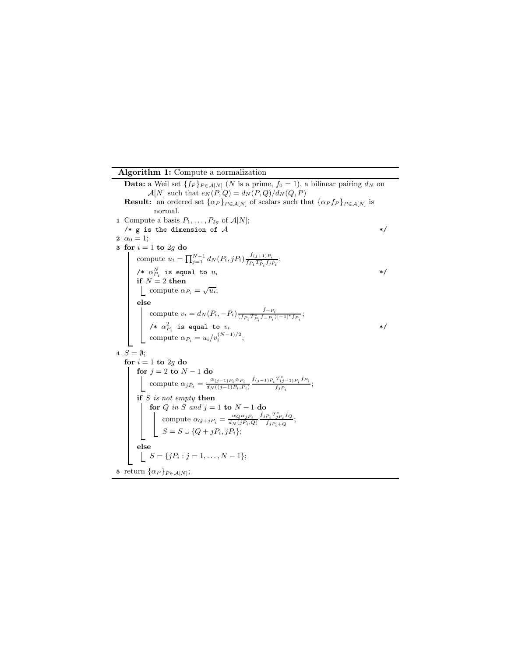## Algorithm 1: Compute a normalization

**Data:** a Weil set  $\{f_P\}_{P \in A[N]}$  (N is a prime,  $f_0 = 1$ ), a bilinear pairing  $d_N$  on  $\mathcal{A}[N]$  such that  $e_N(P,Q) = d_N(P,Q)/d_N(Q,P)$ **Result:** an ordered set  $\{\alpha_P\}_{P \in \mathcal{A}[N]}$  of scalars such that  $\{\alpha_P f_P\}_{P \in \mathcal{A}[N]}$  is normal. 1 Compute a basis  $P_1, \ldots, P_{2g}$  of  $\mathcal{A}[N]$ ; /\* g is the dimension of  $A$  \*/ 2  $\alpha_0 = 1$ ; 3 for  $i = 1$  to 2g do compute  $u_i = \prod_{j=1}^{N-1} d_N(P_i, jP_i) \frac{f_{(j+1)P_i}}{f_{P_i}T_{P_i}^* f_{ij}}$  $\frac{f_{(j+1)P_i}}{f_{P_i}T_{P_i}^*f_{jP_i}}$ /\*  $\alpha_{P_i}^N$  is equal to  $u_i$  \*/ if  $N=2$  then compute  $\alpha_{P_i} = \sqrt{u_i}$ ; else compute  $v_i = d_N (P_i, -P_i) \frac{f_{-P_i}}{(f_{P_i} T_{P_i}^*, f_{-P_i})}$  $\frac{J-P_i}{(f_{P_i}T_{P_i}^*f_{-P_i})[-1]^*f_{P_i}};$ /\*  $\alpha_{P_i}^2$  is equal to  $v_i$  \*/ compute  $\alpha_{P_i} = u_i/v_i^{(N-1)/2};$ 4  $S = \emptyset$ ; for  $i=1$  to  $2g$  do for  $j = 2$  to  $N - 1$  do compute  $\alpha_j P_i = \frac{\alpha_{(j-1)P_i} \alpha_{P_i}}{d_N((j-1)P_i, P_i)} \frac{f_{(j-1)P_i} T_{(j-1)P_i}^* f_{P_i}}{f_{jP_i}}$  $\frac{(j-1)P_i^{\;jT_i}}{f_jP_i};$ if  $S$  is not empty then for Q in S and  $j = 1$  to  $N - 1$  do compute  $\alpha_{Q+jP_i} = \frac{\alpha_Q \alpha_{jP_i}}{d_N(jP_i,Q)} \frac{f_j P_i T_{jP_i}^* f_Q}{f_j P_i + Q}$  $\frac{F_i - j P_i \cup Q}{f_j P_i + Q};$  $S = S \cup \{Q + jP_i, jP_i\};$ else  $\bigcup_{i=1}^{n} S = \{jP_i : j = 1, \ldots, N-1\};$ 5 return  $\{\alpha_P\}_{P \in \mathcal{A}[N]};$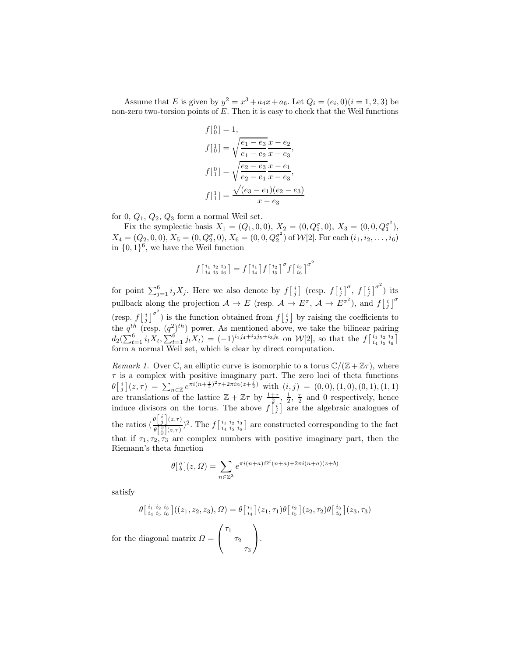Assume that E is given by  $y^2 = x^3 + a_4x + a_6$ . Let  $Q_i = (e_i, 0)(i = 1, 2, 3)$  be non-zero two-torsion points of  $E$ . Then it is easy to check that the Weil functions

$$
f\begin{bmatrix} 0 \\ 0 \end{bmatrix} = 1,
$$
  
\n
$$
f\begin{bmatrix} 1 \\ 0 \end{bmatrix} = \sqrt{\frac{e_1 - e_3}{e_1 - e_2}} \frac{x - e_2}{x - e_3},
$$
  
\n
$$
f\begin{bmatrix} 0 \\ 1 \end{bmatrix} = \sqrt{\frac{e_2 - e_3}{e_2 - e_1}} \frac{x - e_1}{x - e_3},
$$
  
\n
$$
f\begin{bmatrix} 1 \\ 1 \end{bmatrix} = \frac{\sqrt{(e_3 - e_1)(e_2 - e_3)}}{x - e_3}
$$

for  $0, Q_1, Q_2, Q_3$  form a normal Weil set.

Fix the symplectic basis  $X_1 = (Q_1, 0, 0), X_2 = (0, Q_1^{\sigma}, 0), X_3 = (0, 0, Q_1^{\sigma^2}),$  $X_4 = (Q_2, 0, 0), X_5 = (0, Q_2^{\sigma}, 0), X_6 = (0, 0, Q_2^{\sigma^2})$  of  $W[2]$ . For each  $(i_1, i_2, \ldots, i_6)$ in  $\{0,1\}^6$ , we have the Weil function

$$
f\left[\begin{smallmatrix}i_1&i_2&i_3\\i_4&i_5&i_6\end{smallmatrix}\right]=f\left[\begin{smallmatrix}i_1\\i_4\end{smallmatrix}\right]f\left[\begin{smallmatrix}i_2\\i_5\end{smallmatrix}\right]^{\sigma}f\left[\begin{smallmatrix}i_3\\i_6\end{smallmatrix}\right]^{\sigma^2}
$$

for point  $\sum_{j=1}^{6} i_j X_j$ . Here we also denote by  $f\left[\frac{i}{j}\right]$  (resp.  $f\left[\frac{i}{j}\right]^\sigma$ ,  $f\left[\frac{i}{j}\right]^{\sigma^2}$ ) its pullback along the projection  $A \to E$  (resp.  $A \to E^{\sigma}$ ,  $A \to E^{\sigma^2}$ ), and  $f\begin{bmatrix} i \\ j \end{bmatrix}^{\sigma}$ (resp.  $f\begin{bmatrix} i \\ j \end{bmatrix}^{\sigma^2}$ ) is the function obtained from  $f\begin{bmatrix} i \\ j \end{bmatrix}$  by raising the coefficients to the  $q^{th}$  (resp.  $(q^2)^{th}$ ) power. As mentioned above, we take the bilinear pairing  $d_2(\sum_{t=1}^6 i_t X_t, \sum_{t=1}^6 j_t X_t) = (-1)^{i_1 j_4 + i_2 j_5 + i_3 j_6}$  on  $\mathcal{W}[2]$ , so that the  $f\left[\frac{i_1}{i_4} \frac{i_2}{i_5} \frac{i_3}{i_6}\right]$ form a normal Weil set, which is clear by direct computation.

*Remark 1.* Over  $\mathbb{C}$ , an elliptic curve is isomorphic to a torus  $\mathbb{C}/(\mathbb{Z} + \mathbb{Z}\tau)$ , where  $\tau$  is a complex with positive imaginary part. The zero loci of theta functions  $\theta\left[\begin{array}{c}i\\j\end{array}\right](z,\tau) = \sum_{n\in\mathbb{Z}}e^{\pi i(n+\frac{i}{2})^2\tau+2\pi in(z+\frac{j}{2})}$  with  $(i,j) = (0,0),(1,0),(0,1),(1,1)$ are translations of the lattice  $\mathbb{Z} + \mathbb{Z}\tau$  by  $\frac{1+\tau}{2}$ ,  $\frac{1}{2}$ ,  $\frac{\tau}{2}$  and 0 respectively, hence induce divisors on the torus. The above  $f\begin{bmatrix} i \\ j \end{bmatrix}$  are the algebraic analogues of the ratios  $\left(\frac{\theta \left[ i\right] \left( z,\tau\right) }{\theta \left[ 0\right] \left( z,\tau\right) } \right)$  $\theta[\frac{0}{0}]_{(z,\tau)}^{(z,\tau)}$ <sup>2</sup>. The  $f\left[\frac{i_1}{i_4}\frac{i_2}{i_5}\frac{i_6}{i_6}\right]$  are constructed corresponding to the fact that if  $\tau_1, \tau_2, \tau_3$  are complex numbers with positive imaginary part, then the Riemann's theta function

$$
\theta\begin{bmatrix} a \\ b \end{bmatrix}(z,\Omega) = \sum_{n \in \mathbb{Z}^3} e^{\pi i (n+a)\Omega^t(n+a) + 2\pi i (n+a)(z+b)}
$$

satisfy

$$
\theta\begin{bmatrix} i_1 & i_2 & i_3 \\ i_4 & i_5 & i_6 \end{bmatrix}((z_1, z_2, z_3), \Omega) = \theta\begin{bmatrix} i_1 \\ i_4 \end{bmatrix}(z_1, \tau_1)\theta\begin{bmatrix} i_2 \\ i_5 \end{bmatrix}(z_2, \tau_2)\theta\begin{bmatrix} i_3 \\ i_6 \end{bmatrix}(z_3, \tau_3)
$$
\ndiagonal matrix 
$$
\Omega = \begin{pmatrix} \tau_1 \\ \tau_2 \end{pmatrix}.
$$

 $\tau_3$  /

for the  $\sqrt{ }$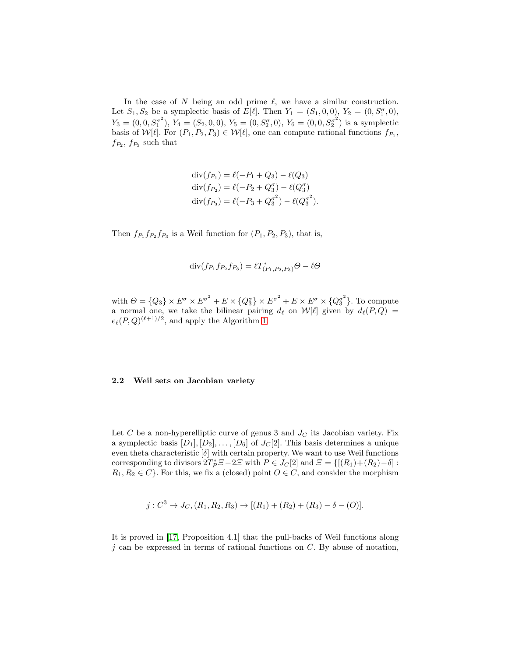In the case of  $N$  being an odd prime  $\ell$ , we have a similar construction. Let  $S_1, S_2$  be a symplectic basis of  $E[\ell]$ . Then  $Y_1 = (S_1, 0, 0), Y_2 = (0, S_1^{\sigma}, 0),$  $Y_3 = (0, 0, S_1^{\sigma^2})$ ,  $Y_4 = (S_2, 0, 0)$ ,  $Y_5 = (0, S_2^{\sigma}, 0)$ ,  $Y_6 = (0, 0, S_2^{\sigma^2})$  is a symplectic basis of  $W[\ell]$ . For  $(P_1, P_2, P_3) \in W[\ell]$ , one can compute rational functions  $f_{P_1}$ ,  $f_{P_2}$ ,  $f_{P_3}$  such that

$$
\text{div}(f_{P_1}) = \ell(-P_1 + Q_3) - \ell(Q_3)
$$
  
\n
$$
\text{div}(f_{P_2}) = \ell(-P_2 + Q_3^{\sigma}) - \ell(Q_3^{\sigma})
$$
  
\n
$$
\text{div}(f_{P_3}) = \ell(-P_3 + Q_3^{\sigma^2}) - \ell(Q_3^{\sigma^2}).
$$

Then  $f_{P_1} f_{P_2} f_{P_3}$  is a Weil function for  $(P_1, P_2, P_3)$ , that is,

$$
\mathrm{div}(f_{P_1}f_{P_2}f_{P_3}) = \ell T^*_{(P_1, P_2, P_3)}\Theta - \ell \Theta
$$

with  $\Theta = \{Q_3\} \times E^{\sigma} \times E^{\sigma^2} + E \times \{Q_3^{\sigma}\} \times E^{\sigma^2} + E \times E^{\sigma} \times \{Q_3^{\sigma^2}\}.$  To compute a normal one, we take the bilinear pairing  $d_{\ell}$  on  $\mathcal{W}[\ell]$  given by  $d_{\ell}(P,Q) =$  $e_{\ell}(P,Q)^{(\ell+1)/2}$ , and apply the Algorithm [1.](#page-2-0)

#### 2.2 Weil sets on Jacobian variety

Let C be a non-hyperelliptic curve of genus 3 and  $J<sub>C</sub>$  its Jacobian variety. Fix a symplectic basis  $[D_1], [D_2], \ldots, [D_6]$  of  $J_C[2]$ . This basis determines a unique even theta characteristic [δ] with certain property. We want to use Weil functions corresponding to divisors  $2T_P^*Z - 2Z$  with  $P \in J_C[2]$  and  $\mathcal{Z} = \{[(R_1)+(R_2)-\delta] :$  $R_1, R_2 \in C$ . For this, we fix a (closed) point  $O \in C$ , and consider the morphism

$$
j:C^3\to J_C,(R_1,R_2,R_3)\to [(R_1)+(R_2)+(R_3)-\delta-(O)].
$$

It is proved in [\[17,](#page-18-3) Proposition 4.1] that the pull-backs of Weil functions along  $j$  can be expressed in terms of rational functions on  $C$ . By abuse of notation,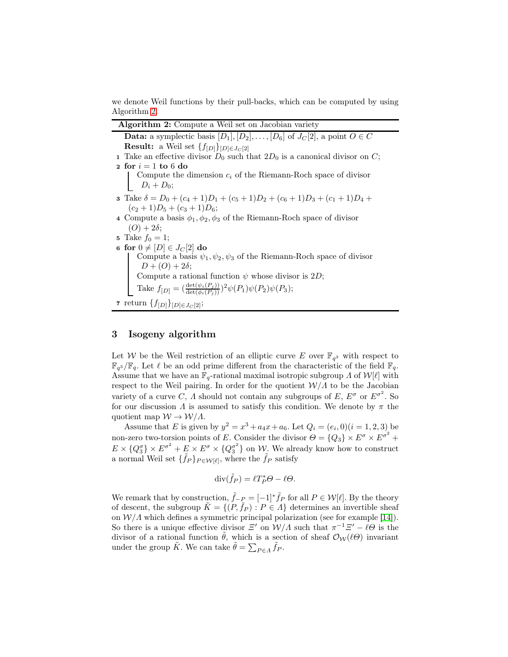<span id="page-6-0"></span>we denote Weil functions by their pull-backs, which can be computed by using Algorithm [2.](#page-6-0)

| <b>Algorithm 2:</b> Compute a Weil set on Jacobian variety                                               |  |
|----------------------------------------------------------------------------------------------------------|--|
| <b>Data:</b> a symplectic basis $[D_1], [D_2], \ldots, [D_6]$ of $J_C[2]$ , a point $O \in C$            |  |
| <b>Result:</b> a Weil set $\{f_{[D]}\}_{[D]\in J_C[2]}$                                                  |  |
| 1 Take an effective divisor $D_0$ such that $2D_0$ is a canonical divisor on C;                          |  |
| 2 for $i=1$ to 6 do                                                                                      |  |
|                                                                                                          |  |
| Compute the dimension $c_i$ of the Riemann-Roch space of divisor $D_i + D_0$ ;                           |  |
| <b>3</b> Take $\delta = D_0 + (c_4 + 1)D_1 + (c_5 + 1)D_2 + (c_6 + 1)D_3 + (c_1 + 1)D_4 +$               |  |
| $(c_2+1)D_5+(c_3+1)D_6;$                                                                                 |  |
| 4 Compute a basis $\phi_1, \phi_2, \phi_3$ of the Riemann-Roch space of divisor                          |  |
| $(O) + 2\delta$ ;                                                                                        |  |
| 5 Take $f_0 = 1$ ;                                                                                       |  |
| 6 for $0 \neq [D] \in J_C[2]$ do                                                                         |  |
| Compute a basis $\psi_1, \psi_2, \psi_3$ of the Riemann-Roch space of divisor                            |  |
| $D+(O)+2\delta;$                                                                                         |  |
| Compute a rational function $\psi$ whose divisor is 2D;                                                  |  |
| Take $f_{[D]} = \left(\frac{\det(\psi_i(P_j))}{\det(\phi_i(P_i))}\right)^2 \psi(P_1)\psi(P_2)\psi(P_3);$ |  |
| 7 return $\{f_{[D]}\}_{[D]\in J_C[2]};$                                                                  |  |

### 3 Isogeny algorithm

Let W be the Weil restriction of an elliptic curve E over  $\mathbb{F}_{q^3}$  with respect to  $\mathbb{F}_{q^3}/\mathbb{F}_q$ . Let  $\ell$  be an odd prime different from the characteristic of the field  $\mathbb{F}_q$ . Assume that we have an  $\mathbb{F}_q$ -rational maximal isotropic subgroup  $\Lambda$  of  $\mathcal{W}[\ell]$  with respect to the Weil pairing. In order for the quotient  $\mathcal{W}/\Lambda$  to be the Jacobian variety of a curve C,  $\Lambda$  should not contain any subgroups of  $E, E^{\sigma}$  or  $E^{\sigma^2}$ . So for our discussion  $\Lambda$  is assumed to satisfy this condition. We denote by  $\pi$  the quotient map  $W \to W/\Lambda$ .

Assume that E is given by  $y^2 = x^3 + a_4x + a_6$ . Let  $Q_i = (e_i, 0)(i = 1, 2, 3)$  be non-zero two-torsion points of E. Consider the divisor  $\Theta = \{Q_3\} \times E^{\sigma} \times E^{\sigma^2} +$  $E \times \{Q_3^{\sigma}\} \times E^{\sigma^2} + E \times E^{\sigma} \times \{Q_3^{\sigma^2}\}\$  on  $\mathcal{W}$ . We already know how to construct a normal Weil set  $\{\tilde{f}_P\}_{P\in \mathcal{W}[\ell]},$  where the  $\tilde{f}_P$  satisfy

$$
\operatorname{div}(\tilde{f}_P) = \ell T_P^* \Theta - \ell \Theta.
$$

We remark that by construction,  $\tilde{f}_-P = [-1]^* \tilde{f}_P$  for all  $P \in \mathcal{W}[\ell]$ . By the theory of descent, the subgroup  $\tilde{K} = \{(P, \tilde{f}_P) : P \in \Lambda\}$  determines an invertible sheaf on  $\mathcal{W}/\Lambda$  which defines a symmetric principal polarization (see for example [\[14\]](#page-17-8)). So there is a unique effective divisor  $\Xi'$  on  $\mathcal{W}/\Lambda$  such that  $\pi^{-1}\Xi'-\ell\Theta$  is the divisor of a rational function  $\tilde{\theta}$ , which is a section of sheaf  $\mathcal{O}_{\mathcal{W}}(\ell\Theta)$  invariant under the group  $\tilde{K}$ . We can take  $\tilde{\theta} = \sum_{P \in \Lambda} \tilde{f}_P$ .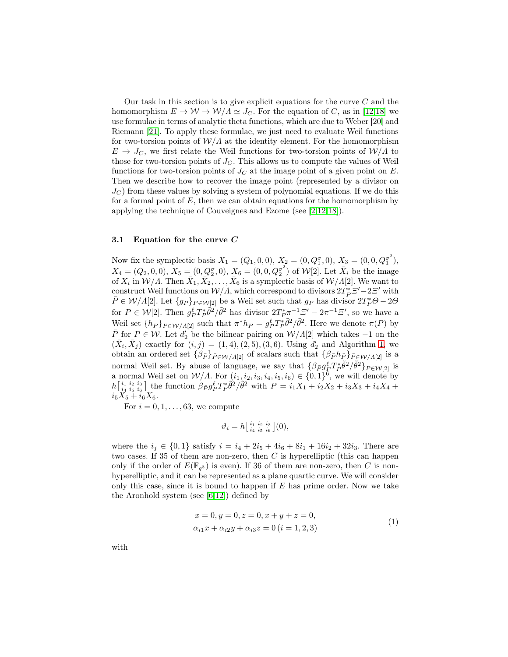Our task in this section is to give explicit equations for the curve  $C$  and the homomorphism  $E \to W \to W/\Lambda \simeq J_C$ . For the equation of C, as in [\[12](#page-17-9)[,18\]](#page-18-2) we use formulae in terms of analytic theta functions, which are due to Weber [\[20\]](#page-18-4) and Riemann [\[21\]](#page-18-5). To apply these formulae, we just need to evaluate Weil functions for two-torsion points of  $\mathcal{W}/\Lambda$  at the identity element. For the homomorphism  $E \to J_C$ , we first relate the Weil functions for two-torsion points of  $\mathcal{W}/\Lambda$  to those for two-torsion points of  $J_C$ . This allows us to compute the values of Weil functions for two-torsion points of  $J_C$  at the image point of a given point on E. Then we describe how to recover the image point (represented by a divisor on  $J<sub>C</sub>$ ) from these values by solving a system of polynomial equations. If we do this for a formal point of  $E$ , then we can obtain equations for the homomorphism by applying the technique of Couveignes and Ezome (see [\[2,](#page-17-10)[12,](#page-17-9)[18\]](#page-18-2)).

### 3.1 Equation for the curve C

Now fix the symplectic basis  $X_1 = (Q_1, 0, 0), X_2 = (0, Q_1^{\sigma}, 0), X_3 = (0, 0, Q_1^{\sigma^2}),$  $X_4 = (Q_2, 0, 0), X_5 = (0, Q_2^{\sigma}, 0), X_6 = (0, 0, Q_2^{\sigma^2})$  of  $W[2]$ . Let  $\bar{X}_i$  be the image of  $X_i$  in  $\mathcal{W}/\Lambda$ . Then  $\bar{X}_1, \bar{X}_2, \ldots, \bar{X}_6$  is a symplectic basis of  $\mathcal{W}/\Lambda[2]$ . We want to construct Weil functions on  $W/A$ , which correspond to divisors  $2T_P^*Z'-2Z'$  with  $\bar{P} \in \mathcal{W}/\Lambda[2]$ . Let  $\{g_P\}_{P \in \mathcal{W}[2]}$  be a Weil set such that  $g_P$  has divisor  $2T_P^*\Theta - 2\Theta$ for  $P \in \mathcal{W}[2]$ . Then  $g_P^{\ell} T_P^* \tilde{\theta}^2 / \tilde{\theta}^2$  has divisor  $2T_P^* \pi^{-1} \mathcal{Z}' - 2\pi^{-1} \mathcal{Z}'$ , so we have a Weil set  $\{h_{\bar{P}}\}_{\bar{P}\in\mathcal{W}/\Lambda[2]}$  such that  $\pi^*h_{\bar{P}}=g_P^{\ell}T_{\bar{P}}^*\tilde{\theta}^2/\tilde{\theta}^2$ . Here we denote  $\pi(P)$  by  $\overline{P}$  for  $P \in \mathcal{W}$ . Let  $d'_2$  be the bilinear pairing on  $\mathcal{W}/\Lambda[2]$  which takes  $-1$  on the  $(\bar{X}_i, \bar{X}_j)$  exactly for  $(i, j) = (1, 4), (2, 5), (3, 6)$ . Using  $d'_2$  and Algorithm [1,](#page-2-0) we obtain an ordered set  $\{\beta_{\bar{P}}\}_{\bar{P}\in W/A[2]}$  of scalars such that  $\{\beta_{\bar{P}}h_{\bar{P}}\}_{\bar{P}\in W/A[2]}$  is a normal Weil set. By abuse of language, we say that  $\{\beta_{\bar{P}}g^{\ell}_{\bar{P}}T_{\bar{P}}\tilde{\theta}^2/\tilde{\theta}^2\}_{P\in\mathcal{W}[2]}$  is normal Weil set on  $W/A$ . For  $(i_1, i_2, i_3, i_4, i_5, i_6) \in \{0,1\}^6$ , we will denote by  $h\left[\begin{array}{cc}i_1 & i_2 & i_3 \ i_4 & i_5 & i_6\end{array}\right]$  the function  $\beta_{\bar{P}}g_P^{\ell}T_{\bar{P}}^*\hat{\theta}^2/\tilde{\theta}^2$  with  $P = i_1X_1 + i_2X_2 + i_3X_3 + i_4X_4 +$  $i_5X_5 + i_6X_6.$ 

For  $i = 0, 1, \ldots, 63$ , we compute

$$
\vartheta_i = h\big[\begin{smallmatrix} i_1 & i_2 & i_3 \\ i_4 & i_5 & i_6 \end{smallmatrix}\big](0),
$$

where the  $i_j \in \{0,1\}$  satisfy  $i = i_4 + 2i_5 + 4i_6 + 8i_1 + 16i_2 + 32i_3$ . There are two cases. If 35 of them are non-zero, then  $C$  is hyperelliptic (this can happen only if the order of  $E(\mathbb{F}_{q^3})$  is even). If 36 of them are non-zero, then C is nonhyperelliptic, and it can be represented as a plane quartic curve. We will consider only this case, since it is bound to happen if  $E$  has prime order. Now we take the Aronhold system (see [\[6](#page-17-11)[,12\]](#page-17-9)) defined by

<span id="page-7-0"></span>
$$
x = 0, y = 0, z = 0, x + y + z = 0,\n\alpha_{i1}x + \alpha_{i2}y + \alpha_{i3}z = 0 (i = 1, 2, 3)
$$
\n(1)

with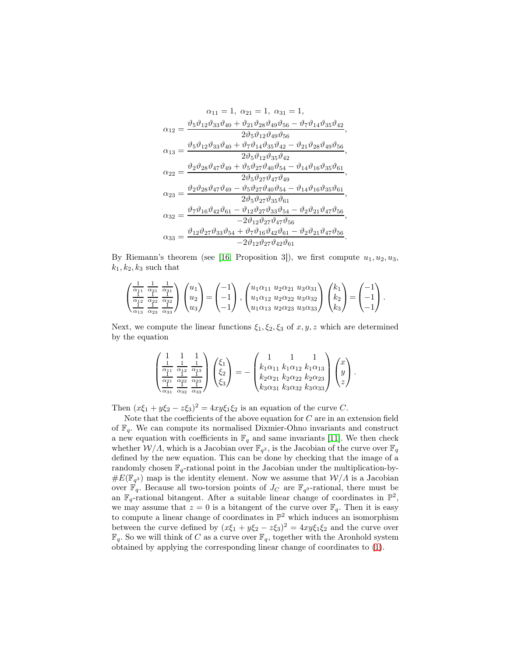$$
\alpha_{11}=1, \; \alpha_{21}=1, \; \alpha_{31}=1, \\ \alpha_{12}=\frac{\vartheta_{5}\vartheta_{12}\vartheta_{33}\vartheta_{40}+\vartheta_{21}\vartheta_{28}\vartheta_{49}\vartheta_{56}-\vartheta_{7}\vartheta_{14}\vartheta_{35}\vartheta_{42}}{2\vartheta_{5}\vartheta_{12}\vartheta_{49}\vartheta_{56}},\\ \alpha_{13}=\frac{\vartheta_{5}\vartheta_{12}\vartheta_{33}\vartheta_{40}+\vartheta_{7}\vartheta_{14}\vartheta_{35}\vartheta_{42}-\vartheta_{21}\vartheta_{28}\vartheta_{49}\vartheta_{56}}{2\vartheta_{5}\vartheta_{12}\vartheta_{35}\vartheta_{42}},\\ \alpha_{22}=\frac{\vartheta_{2}\vartheta_{28}\vartheta_{47}\vartheta_{49}+\vartheta_{5}\vartheta_{27}\vartheta_{40}\vartheta_{54}-\vartheta_{14}\vartheta_{16}\vartheta_{35}\vartheta_{61}}{2\vartheta_{5}\vartheta_{27}\vartheta_{40}\vartheta_{54}-\vartheta_{14}\vartheta_{16}\vartheta_{35}\vartheta_{61}},\\ \alpha_{23}=\frac{\vartheta_{2}\vartheta_{28}\vartheta_{47}\vartheta_{49}-\vartheta_{5}\vartheta_{27}\vartheta_{40}\vartheta_{54}-\vartheta_{14}\vartheta_{16}\vartheta_{35}\vartheta_{61}}{2\vartheta_{5}\vartheta_{27}\vartheta_{35}\vartheta_{61}},\\ \alpha_{32}=\frac{\vartheta_{7}\vartheta_{16}\vartheta_{42}\vartheta_{61}-\vartheta_{12}\vartheta_{27}\vartheta_{33}\vartheta_{54}-\vartheta_{2}\vartheta_{21}\vartheta_{47}\vartheta_{56}}{-2\vartheta_{12}\vartheta_{27}\vartheta_{47}\vartheta_{56}},\\ \alpha_{33}=\frac{\vartheta_{12}\vartheta_{27}\vartheta_{33}\vartheta_{54}+\vartheta_{7}\vartheta_{16}\vartheta_{42}\vartheta_{61}-\vartheta_{2}\vartheta_{21}\vartheta_{47}\vartheta_{56}}{-2\vartheta_{12}\vartheta_{27}\vartheta_{42}\vartheta_{61}}.
$$

By Riemann's theorem (see [\[16,](#page-18-6) Proposition 3]), we first compute  $u_1, u_2, u_3$ ,  $k_1, k_2, k_3$  such that

$$
\begin{pmatrix}\n\frac{1}{\alpha_{11}} & \frac{1}{\alpha_{11}} & \frac{1}{\alpha_{31}} \\
\frac{1}{\alpha_{12}} & \frac{1}{\alpha_{22}} & \frac{1}{\alpha_{32}} \\
\frac{1}{\alpha_{13}} & \frac{1}{\alpha_{23}} & \frac{1}{\alpha_{33}}\n\end{pmatrix}\n\begin{pmatrix}\nu_1 \\
u_2 \\
u_3\n\end{pmatrix} = \begin{pmatrix}\n-1 \\
-1 \\
-1\n\end{pmatrix},\n\begin{pmatrix}\nu_1\alpha_{11} & \nu_2\alpha_{21} & \nu_3\alpha_{31} \\
u_1\alpha_{12} & \nu_2\alpha_{22} & \nu_3\alpha_{32} \\
u_1\alpha_{13} & u_2\alpha_{23} & u_3\alpha_{33}\n\end{pmatrix}\n\begin{pmatrix}\nk_1 \\
k_2 \\
k_3\n\end{pmatrix} = \begin{pmatrix}\n-1 \\
-1 \\
-1\n\end{pmatrix}.
$$

Next, we compute the linear functions  $\xi_1, \xi_2, \xi_3$  of  $x, y, z$  which are determined by the equation

$$
\begin{pmatrix}\n1 & 1 & 1 \\
\frac{\alpha_{11}}{2} & \frac{\alpha_{12}}{2} & \frac{1}{2} \\
\frac{\alpha_{21}}{2} & \frac{\alpha_{22}}{2} & \frac{\alpha_{23}}{2} \\
\frac{\alpha_{31}}{2} & \frac{\alpha_{32}}{2} & \frac{\alpha_{33}}{2}\n\end{pmatrix}\n\begin{pmatrix}\n\xi_1 \\
\xi_2 \\
\xi_3\n\end{pmatrix} = - \begin{pmatrix}\n1 & 1 & 1 \\
k_1 \alpha_{11} & k_1 \alpha_{12} & k_1 \alpha_{13} \\
k_2 \alpha_{21} & k_2 \alpha_{22} & k_2 \alpha_{23} \\
k_3 \alpha_{31} & k_3 \alpha_{32} & k_3 \alpha_{33}\n\end{pmatrix}\n\begin{pmatrix}\nx \\
y \\
z\n\end{pmatrix}.
$$

Then  $(x\xi_1 + y\xi_2 - z\xi_3)^2 = 4xy\xi_1\xi_2$  is an equation of the curve C.

Note that the coefficients of the above equation for  $C$  are in an extension field of  $\mathbb{F}_q$ . We can compute its normalised Dixmier-Ohno invariants and construct a new equation with coefficients in  $\mathbb{F}_q$  and same invariants [\[11\]](#page-17-12). We then check whether  $\mathcal{W}/\Lambda$ , which is a Jacobian over  $\mathbb{F}_{q^2}$ , is the Jacobian of the curve over  $\mathbb{F}_q$ defined by the new equation. This can be done by checking that the image of a randomly chosen  $\mathbb{F}_q$ -rational point in the Jacobian under the multiplication-by- $\#E(\mathbb{F}_{q^3})$  map is the identity element. Now we assume that  $\mathcal{W}/\Lambda$  is a Jacobian over  $\mathbb{F}_q$ . Because all two-torsion points of  $J_C$  are  $\mathbb{F}_{q^9}$ -rational, there must be an  $\mathbb{F}_q$ -rational bitangent. After a suitable linear change of coordinates in  $\mathbb{P}^2$ , we may assume that  $z = 0$  is a bitangent of the curve over  $\mathbb{F}_q$ . Then it is easy to compute a linear change of coordinates in  $\mathbb{P}^2$  which induces an isomorphism between the curve defined by  $(x\xi_1 + y\xi_2 - z\xi_3)^2 = 4xy\xi_1\xi_2$  and the curve over  $\mathbb{F}_q$ . So we will think of C as a curve over  $\mathbb{F}_q$ , together with the Aronhold system obtained by applying the corresponding linear change of coordinates to [\(1\)](#page-7-0).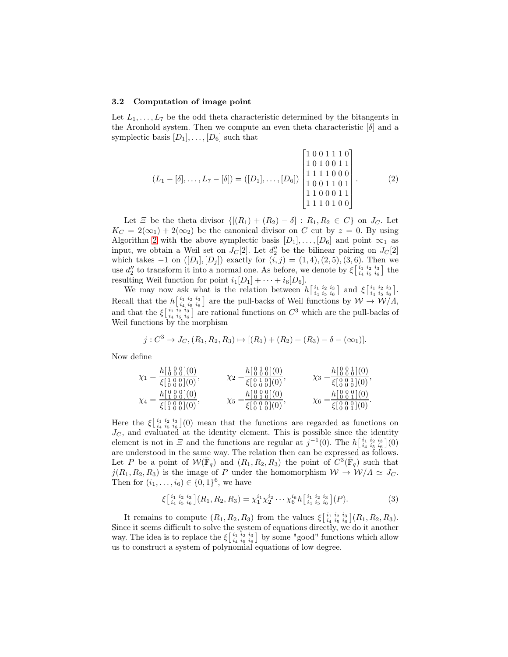#### 3.2 Computation of image point

Let  $L_1, \ldots, L_7$  be the odd theta characteristic determined by the bitangents in the Aronhold system. Then we compute an even theta characteristic  $[\delta]$  and a symplectic basis  $[D_1], \ldots, [D_6]$  such that

$$
(L_1 - [\delta], \dots, L_7 - [\delta]) = ([D_1], \dots, [D_6]) \begin{bmatrix} 1 & 0 & 0 & 1 & 1 & 1 & 0 \\ 1 & 0 & 1 & 0 & 0 & 1 & 1 \\ 1 & 1 & 1 & 1 & 0 & 0 & 0 \\ 1 & 0 & 0 & 1 & 1 & 0 & 1 \\ 1 & 1 & 0 & 0 & 0 & 1 & 1 \\ 1 & 1 & 0 & 1 & 0 & 0 \end{bmatrix} .
$$
 (2)

Let  $\Xi$  be the theta divisor  $\{[(R_1) + (R_2) - \delta] : R_1, R_2 \in C\}$  on  $J_C$ . Let  $K_C = 2(\infty_1) + 2(\infty_2)$  be the canonical divisor on C cut by  $z = 0$ . By using Algorithm [2](#page-6-0) with the above symplectic basis  $[D_1], \ldots, [D_6]$  and point  $\infty_1$  as input, we obtain a Weil set on  $J_C[2]$ . Let  $d''_2$  be the bilinear pairing on  $J_C[2]$ which takes  $-1$  on  $([D_i], [D_j])$  exactly for  $(i, j) = (1, 4), (2, 5), (3, 6)$ . Then we use  $d_2''$  to transform it into a normal one. As before, we denote by  $\xi\begin{bmatrix} i_1 & i_2 & i_3 \\ i_4 & i_5 & i_6 \end{bmatrix}$  the resulting Weil function for point  $i_1[D_1] + \cdots + i_6[D_6]$ .

We may now ask what is the relation between  $h\begin{bmatrix} i_1 & i_2 & i_3 \ i_4 & i_5 & i_6 \end{bmatrix}$  and  $\xi\begin{bmatrix} i_1 & i_2 & i_3 \ i_4 & i_5 & i_6 \end{bmatrix}$ . Recall that the  $h\left[\frac{i_1}{i_4}\frac{i_2}{i_5}\frac{i_3}{i_6}\right]$  are the pull-backs of Weil functions by  $W \to W/\Lambda$ , and that the  $\xi_{i_4}^{i_1 i_2 i_3}_{i_5 i_6}$  are rational functions on  $C^3$  which are the pull-backs of Weil functions by the morphism

$$
j:C^3\to J_C,(R_1,R_2,R_3)\mapsto [(R_1)+(R_2)+(R_3)-\delta-(\infty_1)].
$$

Now define

$$
\chi_1 = \frac{h\left[\frac{1}{0}\frac{0}{0}\frac{0}{0}\right](0)}{\xi\left[\frac{1}{0}\frac{0}{0}\frac{0}{0}\right](0)}, \qquad \chi_2 = \frac{h\left[\frac{0}{0}\frac{1}{0}\frac{0}{0}\right](0)}{\xi\left[\frac{0}{0}\frac{1}{0}\frac{0}{0}\right](0)}, \qquad \chi_3 = \frac{h\left[\frac{0}{0}\frac{0}{0}\frac{1}{0}\right](0)}{\xi\left[\frac{0}{0}\frac{0}{0}\frac{1}{0}\right](0)}, \chi_4 = \frac{h\left[\frac{0}{1}\frac{0}{0}\frac{0}{0}\right](0)}{\xi\left[\frac{0}{0}\frac{0}{0}\frac{0}{0}\right](0)}, \qquad \chi_5 = \frac{h\left[\frac{0}{0}\frac{0}{0}\frac{0}{0}\right](0)}{\xi\left[\frac{0}{0}\frac{0}{0}\frac{0}{0}\right](0)}, \chi_6 = \frac{h\left[\frac{0}{0}\frac{0}{0}\frac{0}{0}\right](0)}{\xi\left[\frac{0}{0}\frac{0}{0}\frac{0}{0}\right](0)}.
$$

Here the  $\xi_{i_4}^{i_1 i_2 i_3}_{i_5 i_6}(0)$  mean that the functions are regarded as functions on  $J_C$ , and evaluated at the identity element. This is possible since the identity element is not in  $\Xi$  and the functions are regular at  $j^{-1}(0)$ . The  $h\begin{bmatrix} i_1 & i_2 & i_3 \ i_4 & i_5 & i_6 \end{bmatrix}$  $(0)$ are understood in the same way. The relation then can be expressed as follows. Let P be a point of  $W(\bar{\mathbb{F}}_q)$  and  $(R_1, R_2, R_3)$  the point of  $C^3(\bar{\mathbb{F}}_q)$  such that  $j(R_1, R_2, R_3)$  is the image of P under the homomorphism  $W \to W/\Lambda \simeq J_C$ . Then for  $(i_1, ..., i_6) \in \{0, 1\}^6$ , we have

$$
\xi\left[\begin{array}{c}i_1 & i_2 & i_3 \\i_4 & i_5 & i_6\end{array}\right](R_1, R_2, R_3) = \chi_1^{i_1}\chi_2^{i_2}\cdots\chi_6^{i_6}h\left[\begin{array}{c}i_1 & i_2 & i_3 \\i_4 & i_5 & i_6\end{array}\right](P). \tag{3}
$$

It remains to compute  $(R_1, R_2, R_3)$  from the values  $\xi\begin{bmatrix} i_1 & i_2 & i_3 \ i_4 & i_5 & i_6 \end{bmatrix} (R_1, R_2, R_3)$ . Since it seems difficult to solve the system of equations directly, we do it another way. The idea is to replace the  $\xi$   $\begin{bmatrix} i_1 & i_2 & i_3 \\ i_4 & i_5 & i_6 \end{bmatrix}$  by some "good" functions which allow us to construct a system of polynomial equations of low degree.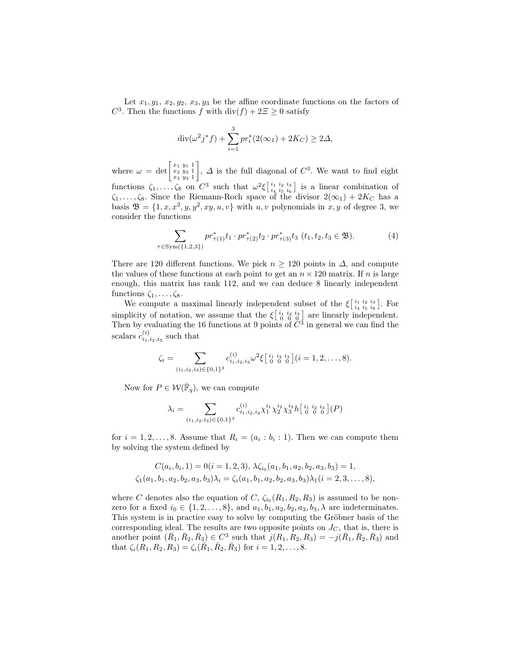Let  $x_1, y_1, x_2, y_2, x_3, y_3$  be the affine coordinate functions on the factors of  $C^3$ . Then the functions f with  $\text{div}(f) + 2\Xi \geq 0$  satisfy

$$
\operatorname{div}(\omega^2 j^* f) + \sum_{i=1}^3 pr_i^*(2(\infty_1) + 2K_C) \ge 2\Delta,
$$

where  $\omega = \det \begin{bmatrix} x_1 & y_1 & 1 \\ x_2 & y_2 & 1 \\ x_3 & y_3 & 1 \end{bmatrix}$ ,  $\Delta$  is the full diagonal of  $C^3$ . We want to find eight functions  $\zeta_1, \ldots, \zeta_8$  on  $C^3$  such that  $\omega^2 \xi \begin{bmatrix} i_1 & i_2 & i_3 \\ i_4 & i_5 & i_6 \end{bmatrix}$  is a linear combination of  $\zeta_1, \ldots, \zeta_8$ . Since the Riemann-Roch space of the divisor  $2(\infty_1) + 2K_C$  has a basis  $\mathfrak{B} = \{1, x, x^2, y, y^2, xy, u, v\}$  with  $u, v$  polynomials in  $x, y$  of degree 3, we consider the functions

$$
\sum_{\tau \in \text{Sym}(\{1,2,3\})} pr_{\tau(1)}^* t_1 \cdot pr_{\tau(2)}^* t_2 \cdot pr_{\tau(3)}^* t_3 \ (t_1, t_2, t_3 \in \mathfrak{B}).\tag{4}
$$

There are 120 different functions. We pick  $n \geq 120$  points in  $\Delta$ , and compute the values of these functions at each point to get an  $n \times 120$  matrix. If n is large enough, this matrix has rank 112, and we can deduce 8 linearly independent functions  $\zeta_1, \ldots, \zeta_8$ .

We compute a maximal linearly independent subset of the  $\xi$   $\begin{bmatrix} i_1 & i_2 & i_3 \ i_4 & i_5 & i_6 \end{bmatrix}$ . For simplicity of notation, we assume that the  $\xi\begin{bmatrix} i_1 & i_2 & i_3 \\ 0 & 0 & 0 \end{bmatrix}$  are linearly independent. Then by evaluating the 16 functions at 9 points of  $\check{C}^3$  in general we can find the scalars  $c_{i_1,i_2,i_3}^{(i)}$  such that

$$
\zeta_i = \sum_{(i_1,i_2,i_3)\in\{0,1\}^3} c_{i_1,i_2,i_3}^{(i)} \omega^2 \xi \begin{bmatrix} i_1 & i_2 & i_3 \\ 0 & 0 & 0 \end{bmatrix} (i = 1,2,\ldots,8).
$$

Now for  $P \in \mathcal{W}(\overline{\mathbb{F}}_q)$ , we can compute

$$
\lambda_i = \sum_{(i_1, i_2, i_3) \in \{0, 1\}^3} c_{i_1, i_2, i_3}^{(i)} \chi_1^{i_1} \chi_2^{i_2} \chi_3^{i_3} h \left[ \begin{array}{cc} i_1 & i_2 & i_3 \\ 0 & 0 & 0 \end{array} \right] (P)
$$

for  $i = 1, 2, \ldots, 8$ . Assume that  $R_i = (a_i : b_i : 1)$ . Then we can compute them by solving the system defined by

$$
C(a_i, b_i, 1) = 0(i = 1, 2, 3), \ \lambda \zeta_{i_0}(a_1, b_1, a_2, b_2, a_3, b_3) = 1, \zeta_1(a_1, b_1, a_2, b_2, a_3, b_3)\lambda_i = \zeta_i(a_1, b_1, a_2, b_2, a_3, b_3)\lambda_1(i = 2, 3, \dots, 8),
$$

where C denotes also the equation of C,  $\zeta_{i_0}(R_1, R_2, R_3)$  is assumed to be nonzero for a fixed  $i_0 \in \{1, 2, \ldots, 8\}$ , and  $a_1, b_1, a_2, b_2, a_3, b_3, \lambda$  are indeterminates. This system is in practice easy to solve by computing the Gröbner basis of the corresponding ideal. The results are two opposite points on  $J_C$ , that is, there is another point  $(\bar{R}_1, \bar{R}_2, \bar{R}_3) \in C^3$  such that  $j(R_1, R_2, R_3) = -j(\bar{R}_1, \bar{R}_2, \bar{R}_3)$  and that  $\zeta_i(R_1, R_2, R_3) = \zeta_i(\overline{R}_1, \overline{R}_2, \overline{R}_3)$  for  $i = 1, 2, ..., 8$ .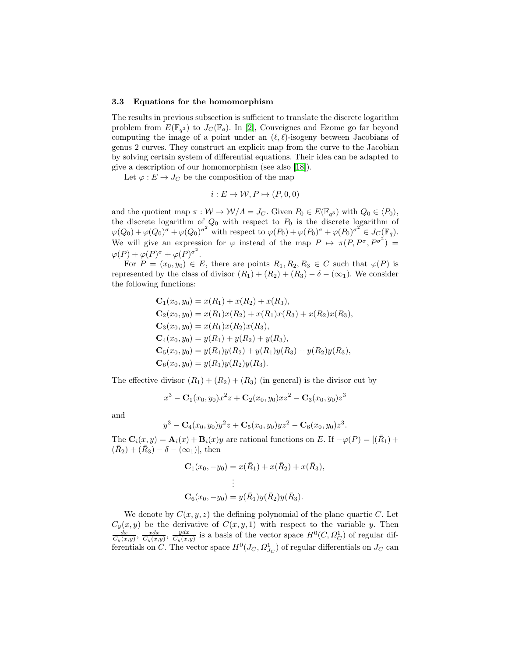#### 3.3 Equations for the homomorphism

The results in previous subsection is sufficient to translate the discrete logarithm problem from  $E(\mathbb{F}_{q^3})$  to  $J_C(\mathbb{F}_q)$ . In [\[2\]](#page-17-10), Couveignes and Ezome go far beyond computing the image of a point under an  $(\ell, \ell)$ -isogeny between Jacobians of genus 2 curves. They construct an explicit map from the curve to the Jacobian by solving certain system of differential equations. Their idea can be adapted to give a description of our homomorphism (see also [\[18\]](#page-18-2)).

Let  $\varphi : E \to J_C$  be the composition of the map

$$
i: E \to \mathcal{W}, P \mapsto (P, 0, 0)
$$

and the quotient map  $\pi : \mathcal{W} \to \mathcal{W}/\Lambda = J_C$ . Given  $P_0 \in E(\mathbb{F}_{q^3})$  with  $Q_0 \in \langle P_0 \rangle$ , the discrete logarithm of  $Q_0$  with respect to  $P_0$  is the discrete logarithm of  $\varphi(Q_0) + \varphi(Q_0)^{\sigma} + \varphi(Q_0)^{\sigma^2}$  with respect to  $\varphi(P_0) + \varphi(P_0)^{\sigma} + \varphi(P_0)^{\sigma^2} \in J_C(\mathbb{F}_q)$ . We will give an expression for  $\varphi$  instead of the map  $P \mapsto \pi(P, P^{\sigma}, P^{\sigma^2}) =$  $\varphi(P) + \varphi(P)^{\sigma} + \varphi(P)^{\sigma^2}.$ 

For  $P = (x_0, y_0) \in E$ , there are points  $R_1, R_2, R_3 \in C$  such that  $\varphi(P)$  is represented by the class of divisor  $(R_1) + (R_2) + (R_3) - \delta - (\infty_1)$ . We consider the following functions:

$$
C_1(x_0, y_0) = x(R_1) + x(R_2) + x(R_3),
$$
  
\n
$$
C_2(x_0, y_0) = x(R_1)x(R_2) + x(R_1)x(R_3) + x(R_2)x(R_3),
$$
  
\n
$$
C_3(x_0, y_0) = x(R_1)x(R_2)x(R_3),
$$
  
\n
$$
C_4(x_0, y_0) = y(R_1) + y(R_2) + y(R_3),
$$
  
\n
$$
C_5(x_0, y_0) = y(R_1)y(R_2) + y(R_1)y(R_3) + y(R_2)y(R_3),
$$
  
\n
$$
C_6(x_0, y_0) = y(R_1)y(R_2)y(R_3).
$$

The effective divisor  $(R_1) + (R_2) + (R_3)$  (in general) is the divisor cut by

$$
x^{3} - \mathbf{C}_{1}(x_{0}, y_{0})x^{2}z + \mathbf{C}_{2}(x_{0}, y_{0})xz^{2} - \mathbf{C}_{3}(x_{0}, y_{0})z^{3}
$$

and

$$
y^{3} - C_{4}(x_{0}, y_{0})y^{2}z + C_{5}(x_{0}, y_{0})yz^{2} - C_{6}(x_{0}, y_{0})z^{3}.
$$

The  $\mathbf{C}_i(x, y) = \mathbf{A}_i(x) + \mathbf{B}_i(x)y$  are rational functions on E. If  $-\varphi(P) = [(\bar{R}_1) +$  $(\bar{R}_2) + (\bar{R}_3) - \delta - (\infty_1)$ , then

$$
\mathbf{C}_1(x_0, -y_0) = x(\bar{R}_1) + x(\bar{R}_2) + x(\bar{R}_3),
$$
  
\n
$$
\vdots
$$
  
\n
$$
\mathbf{C}_6(x_0, -y_0) = y(\bar{R}_1)y(\bar{R}_2)y(\bar{R}_3).
$$

We denote by  $C(x, y, z)$  the defining polynomial of the plane quartic C. Let  $C_y(x, y)$  be the derivative of  $C(x, y, 1)$  with respect to the variable y. Then  $\frac{dx}{C_y(x, y)}$ ,  $\frac{ydx}{C_y(x, y)}$ ,  $\frac{ydx}{C_y(x, y)}$  is a basis of the vector space  $H^0(C, \Omega_C^1)$  of regular differentials on C. The vector space  $H^0(J_C, \Omega^1_{J_C})$  of regular differentials on  $J_C$  can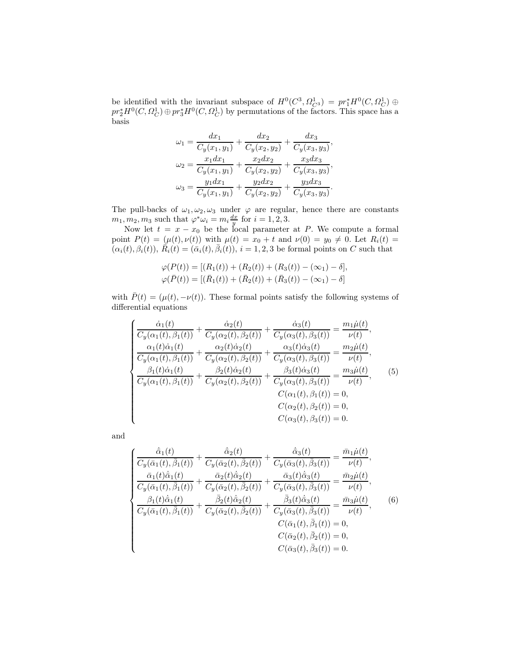be identified with the invariant subspace of  $H^0(C^3, \Omega^1_{C^3}) = pr_1^* H^0(C, \Omega^1_C) \oplus$  $pr_2^*H^0(C, \Omega_C^1) \oplus pr_3^*H^0(C, \Omega_C^1)$  by permutations of the factors. This space has a basis

$$
\omega_1 = \frac{dx_1}{C_y(x_1, y_1)} + \frac{dx_2}{C_y(x_2, y_2)} + \frac{dx_3}{C_y(x_3, y_3)},
$$
  
\n
$$
\omega_2 = \frac{x_1 dx_1}{C_y(x_1, y_1)} + \frac{x_2 dx_2}{C_y(x_2, y_2)} + \frac{x_3 dx_3}{C_y(x_3, y_3)},
$$
  
\n
$$
\omega_3 = \frac{y_1 dx_1}{C_y(x_1, y_1)} + \frac{y_2 dx_2}{C_y(x_2, y_2)} + \frac{y_3 dx_3}{C_y(x_3, y_3)}.
$$

The pull-backs of  $\omega_1, \omega_2, \omega_3$  under  $\varphi$  are regular, hence there are constants  $m_1, m_2, m_3$  such that  $\varphi^* \omega_i = m_i \frac{dx}{y}$  for  $i = 1, 2, 3$ .

Now let  $t = x - x_0$  be the local parameter at P. We compute a formal point  $P(t) = (\mu(t), \nu(t))$  with  $\mu(t) = x_0 + t$  and  $\nu(0) = y_0 \neq 0$ . Let  $R_i(t) =$  $(\alpha_i(t), \beta_i(t)), \ \tilde{R}_i(t) = (\bar{\alpha}_i(t), \bar{\beta}_i(t)), i = 1, 2, 3$  be formal points on C such that

$$
\varphi(P(t)) = [(R_1(t)) + (R_2(t)) + (R_3(t)) - (\infty_1) - \delta],
$$
  

$$
\varphi(\bar{P}(t)) = [(\bar{R}_1(t)) + (\bar{R}_2(t)) + (\bar{R}_3(t)) - (\infty_1) - \delta]
$$

with  $\bar{P}(t) = (\mu(t), -\nu(t))$ . These formal points satisfy the following systems of differential equations

<span id="page-12-0"></span>
$$
\begin{cases}\n\frac{\dot{\alpha}_{1}(t)}{C_{y}(\alpha_{1}(t),\beta_{1}(t))} + \frac{\dot{\alpha}_{2}(t)}{C_{y}(\alpha_{2}(t),\beta_{2}(t))} + \frac{\dot{\alpha}_{3}(t)}{C_{y}(\alpha_{3}(t),\beta_{3}(t))} = \frac{m_{1}\dot{\mu}(t)}{\nu(t)},\\ \frac{\alpha_{1}(t)\dot{\alpha}_{1}(t)}{C_{y}(\alpha_{1}(t),\beta_{1}(t))} + \frac{\alpha_{2}(t)\dot{\alpha}_{2}(t)}{C_{y}(\alpha_{2}(t),\beta_{2}(t))} + \frac{\alpha_{3}(t)\dot{\alpha}_{3}(t)}{C_{y}(\alpha_{3}(t),\beta_{3}(t))} = \frac{m_{2}\dot{\mu}(t)}{\nu(t)},\\ \frac{\beta_{1}(t)\dot{\alpha}_{1}(t)}{C_{y}(\alpha_{1}(t),\beta_{1}(t))} + \frac{\beta_{2}(t)\dot{\alpha}_{2}(t)}{C_{y}(\alpha_{2}(t),\beta_{2}(t))} + \frac{\beta_{3}(t)\dot{\alpha}_{3}(t)}{C_{y}(\alpha_{3}(t),\beta_{3}(t))} = \frac{m_{3}\dot{\mu}(t)}{\nu(t)},\\ C(\alpha_{1}(t),\beta_{1}(t)) = 0,\\ C(\alpha_{2}(t),\beta_{2}(t)) = 0,\\ C(\alpha_{3}(t),\beta_{3}(t)) = 0.\n\end{cases}
$$
\n(5)

and

<span id="page-12-1"></span>
$$
\begin{cases}\n\frac{\dot{\bar{\alpha}}_1(t)}{C_y(\bar{\alpha}_1(t), \bar{\beta}_1(t))} + \frac{\dot{\bar{\alpha}}_2(t)}{C_y(\bar{\alpha}_2(t), \bar{\beta}_2(t))} + \frac{\dot{\bar{\alpha}}_3(t)}{C_y(\bar{\alpha}_3(t), \bar{\beta}_3(t))} = \frac{\bar{m}_1\dot{\mu}(t)}{\nu(t)},\\
\frac{\bar{\alpha}_1(t)\dot{\bar{\alpha}}_1(t)}{C_y(\bar{\alpha}_1(t), \bar{\beta}_1(t))} + \frac{\bar{\alpha}_2(t)\dot{\bar{\alpha}}_2(t)}{C_y(\bar{\alpha}_2(t), \bar{\beta}_2(t))} + \frac{\bar{\alpha}_3(t)\dot{\bar{\alpha}}_3(t)}{C_y(\bar{\alpha}_3(t), \bar{\beta}_3(t))} = \frac{\bar{m}_2\dot{\mu}(t)}{\nu(t)},\\
\frac{\beta_1(t)\dot{\bar{\alpha}}_1(t)}{C_y(\bar{\alpha}_1(t), \bar{\beta}_1(t))} + \frac{\bar{\beta}_2(t)\dot{\bar{\alpha}}_2(t)}{C_y(\bar{\alpha}_2(t), \bar{\beta}_2(t))} + \frac{\bar{\beta}_3(t)\dot{\bar{\alpha}}_3(t)}{C_y(\bar{\alpha}_3(t), \bar{\beta}_3(t))} = \frac{\bar{m}_3\dot{\mu}(t)}{\nu(t)},\\
C(\bar{\alpha}_1(t), \bar{\beta}_1(t)) = 0,\\
C(\bar{\alpha}_2(t), \bar{\beta}_2(t)) = 0,\\
C(\bar{\alpha}_3(t), \bar{\beta}_3(t)) = 0.\n\end{cases}
$$
\n(6)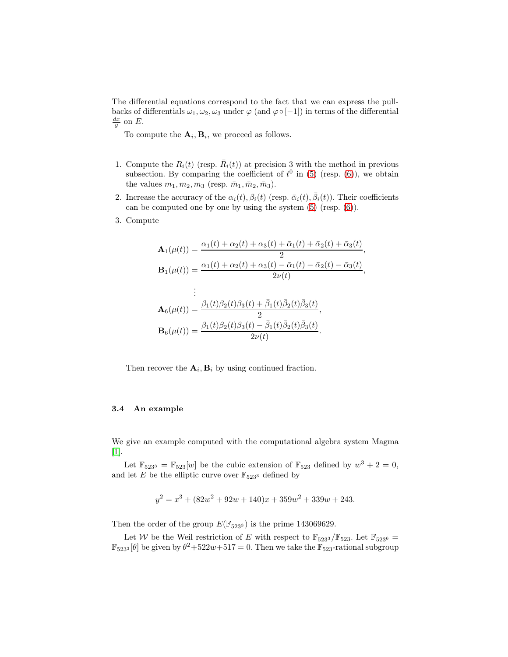The differential equations correspond to the fact that we can express the pullbacks of differentials  $\omega_1, \omega_2, \omega_3$  under  $\varphi$  (and  $\varphi \circ [-1]$ ) in terms of the differential  $\frac{dx}{y}$  on E.

To compute the  $\mathbf{A}_i, \mathbf{B}_i$ , we proceed as follows.

- 1. Compute the  $R_i(t)$  (resp.  $\overline{R}_i(t)$ ) at precision 3 with the method in previous subsection. By comparing the coefficient of  $t^0$  in [\(5\)](#page-12-0) (resp. [\(6\)](#page-12-1)), we obtain the values  $m_1, m_2, m_3$  (resp.  $\bar{m}_1, \bar{m}_2, \bar{m}_3$ ).
- 2. Increase the accuracy of the  $\alpha_i(t), \beta_i(t)$  (resp.  $\bar{\alpha}_i(t), \bar{\beta}_i(t)$ ). Their coefficients can be computed one by one by using the system [\(5\)](#page-12-0) (resp. [\(6\)](#page-12-1)).
- 3. Compute

$$
\mathbf{A}_{1}(\mu(t)) = \frac{\alpha_{1}(t) + \alpha_{2}(t) + \alpha_{3}(t) + \bar{\alpha}_{1}(t) + \bar{\alpha}_{2}(t) + \bar{\alpha}_{3}(t)}{2},
$$
\n
$$
\mathbf{B}_{1}(\mu(t)) = \frac{\alpha_{1}(t) + \alpha_{2}(t) + \alpha_{3}(t) - \bar{\alpha}_{1}(t) - \bar{\alpha}_{2}(t) - \bar{\alpha}_{3}(t)}{2\nu(t)},
$$
\n
$$
\vdots
$$
\n
$$
\mathbf{A}_{6}(\mu(t)) = \frac{\beta_{1}(t)\beta_{2}(t)\beta_{3}(t) + \bar{\beta}_{1}(t)\bar{\beta}_{2}(t)\bar{\beta}_{3}(t)}{2},
$$
\n
$$
\mathbf{B}_{6}(\mu(t)) = \frac{\beta_{1}(t)\beta_{2}(t)\beta_{3}(t) - \bar{\beta}_{1}(t)\bar{\beta}_{2}(t)\bar{\beta}_{3}(t)}{2\nu(t)}.
$$

Then recover the  $A_i$ ,  $B_i$  by using continued fraction.

### 3.4 An example

We give an example computed with the computational algebra system Magma [\[1\]](#page-17-13).

Let  $\mathbb{F}_{523^3} = \mathbb{F}_{523}[w]$  be the cubic extension of  $\mathbb{F}_{523}$  defined by  $w^3 + 2 = 0$ , and let E be the elliptic curve over  $\mathbb{F}_{523^3}$  defined by

$$
y^{2} = x^{3} + (82w^{2} + 92w + 140)x + 359w^{2} + 339w + 243.
$$

Then the order of the group  $E(\mathbb{F}_{5233})$  is the prime 143069629.

Let W be the Weil restriction of E with respect to  $\mathbb{F}_{523}$ ,  $\mathbb{F}_{523}$ . Let  $\mathbb{F}_{523}$ <sup>6</sup> =  $\mathbb{F}_{523^3}[\theta]$  be given by  $\theta^2 + 522w + 517 = 0$ . Then we take the  $\mathbb{F}_{523}$ -rational subgroup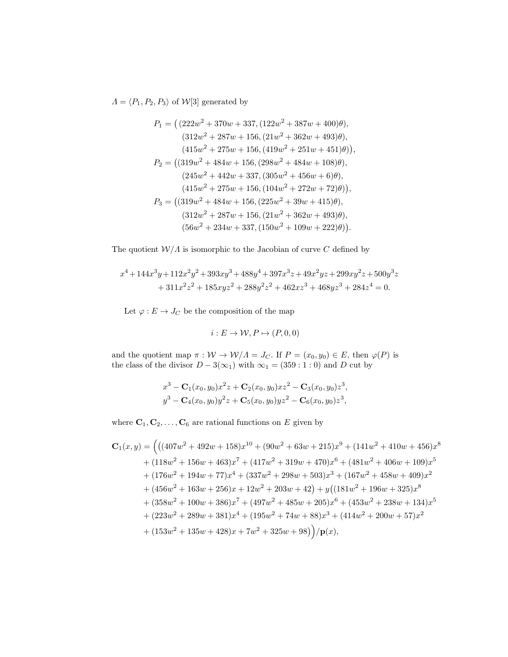$\Lambda = \langle P_1, P_2, P_3 \rangle$  of  $\mathcal{W}[3]$  generated by

$$
P_1 = ( (222w^2 + 370w + 337, (122w^2 + 387w + 400)\theta),
$$
  
\n
$$
(312w^2 + 287w + 156, (21w^2 + 362w + 493)\theta),
$$
  
\n
$$
(415w^2 + 275w + 156, (419w^2 + 251w + 451)\theta)),
$$
  
\n
$$
P_2 = ((319w^2 + 484w + 156, (298w^2 + 484w + 108)\theta),
$$
  
\n
$$
(245w^2 + 442w + 337, (305w^2 + 456w + 6)\theta),
$$
  
\n
$$
(415w^2 + 275w + 156, (104w^2 + 272w + 72)\theta)),
$$
  
\n
$$
P_3 = ((319w^2 + 484w + 156, (225w^2 + 39w + 415)\theta),
$$
  
\n
$$
(312w^2 + 287w + 156, (21w^2 + 362w + 493)\theta),
$$
  
\n
$$
(56w^2 + 234w + 337, (150w^2 + 109w + 222)\theta)).
$$

The quotient  $\mathcal{W}/\Lambda$  is isomorphic to the Jacobian of curve C defined by

$$
x^4 + 144x^3y + 112x^2y^2 + 393xy^3 + 488y^4 + 397x^3z + 49x^2yz + 299xy^2z + 500y^3z
$$
  
+ 311x<sup>2</sup>z<sup>2</sup> + 185xyz<sup>2</sup> + 288y<sup>2</sup>z<sup>2</sup> + 462xz<sup>3</sup> + 468yz<sup>3</sup> + 284z<sup>4</sup> = 0.

Let  $\varphi : E \to J_C$  be the composition of the map

$$
i: E \to \mathcal{W}, P \mapsto (P, 0, 0)
$$

and the quotient map  $\pi : W \to W/\Lambda = J_C$ . If  $P = (x_0, y_0) \in E$ , then  $\varphi(P)$  is the class of the divisor  $D - 3(\infty_1)$  with  $\infty_1 = (359 : 1 : 0)$  and D cut by

$$
x^{3} - \mathbf{C}_{1}(x_{0}, y_{0})x^{2}z + \mathbf{C}_{2}(x_{0}, y_{0})xz^{2} - \mathbf{C}_{3}(x_{0}, y_{0})z^{3},
$$
  

$$
y^{3} - \mathbf{C}_{4}(x_{0}, y_{0})y^{2}z + \mathbf{C}_{5}(x_{0}, y_{0})yz^{2} - \mathbf{C}_{6}(x_{0}, y_{0})z^{3},
$$

where  $C_1, C_2, \ldots, C_6$  are rational functions on E given by

$$
C_1(x,y) = (((407w^2 + 492w + 158)x^{10} + (90w^2 + 63w + 215)x^9 + (141w^2 + 410w + 456)x^8
$$
  
+ (118w^2 + 156w + 463)x^7 + (417w^2 + 319w + 470)x^6 + (481w^2 + 406w + 109)x^5  
+ (176w^2 + 194w + 77)x^4 + (337w^2 + 298w + 503)x^3 + (167w^2 + 458w + 409)x^2  
+ (456w^2 + 163w + 256)x + 12w^2 + 203w + 42) + y((181w^2 + 196w + 325)x^8  
+ (358w^2 + 100w + 386)x^7 + (497w^2 + 485w + 205)x^6 + (453w^2 + 238w + 134)x^5  
+ (223w^2 + 289w + 381)x^4 + (195w^2 + 74w + 88)x^3 + (414w^2 + 200w + 57)x^2  
+ (153w^2 + 135w + 428)x + 7w^2 + 325w + 98) / p(x),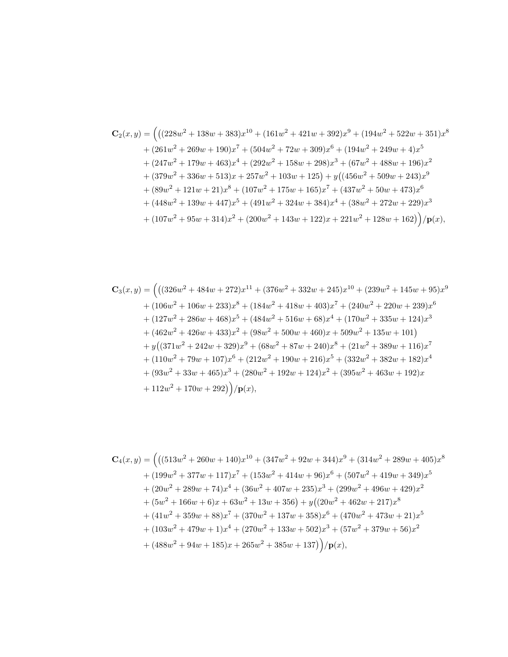$$
C_{2}(x,y) = (((228w^{2} + 138w + 383)x^{10} + (161w^{2} + 421w + 392)x^{9} + (194w^{2} + 522w + 351)x^{8}
$$
  
+  $(261w^{2} + 269w + 190)x^{7} + (504w^{2} + 72w + 309)x^{6} + (194w^{2} + 249w + 4)x^{5}$   
+  $(247w^{2} + 179w + 463)x^{4} + (292w^{2} + 158w + 298)x^{3} + (67w^{2} + 488w + 196)x^{2}$   
+  $(379w^{2} + 336w + 513)x + 257w^{2} + 103w + 125) + y((456w^{2} + 509w + 243)x^{9}$   
+  $(89w^{2} + 121w + 21)x^{8} + (107w^{2} + 175w + 165)x^{7} + (437w^{2} + 50w + 473)x^{6}$   
+  $(448w^{2} + 139w + 447)x^{5} + (491w^{2} + 324w + 384)x^{4} + (38w^{2} + 272w + 229)x^{3}$   
+  $(107w^{2} + 95w + 314)x^{2} + (200w^{2} + 143w + 122)x + 221w^{2} + 128w + 162) / p(x),$ 

$$
C_3(x,y) = ((326w^2 + 484w + 272)x^{11} + (376w^2 + 332w + 245)x^{10} + (239w^2 + 145w + 95)x^9
$$
  
+  $(106w^2 + 106w + 233)x^8 + (184w^2 + 418w + 403)x^7 + (240w^2 + 220w + 239)x^6$   
+  $(127w^2 + 286w + 468)x^5 + (484w^2 + 516w + 68)x^4 + (170w^2 + 335w + 124)x^3$   
+  $(462w^2 + 426w + 433)x^2 + (98w^2 + 500w + 460)x + 509w^2 + 135w + 101)$   
+  $y((371w^2 + 242w + 329)x^9 + (68w^2 + 87w + 240)x^8 + (21w^2 + 389w + 116)x^7$   
+  $(110w^2 + 79w + 107)x^6 + (212w^2 + 190w + 216)x^5 + (332w^2 + 382w + 182)x^4$   
+  $(93w^2 + 33w + 465)x^3 + (280w^2 + 192w + 124)x^2 + (395w^2 + 463w + 192)x$   
+  $112w^2 + 170w + 292$ ) $/p(x)$ ,

$$
C_4(x,y) = (((513w^2 + 260w + 140)x^{10} + (347w^2 + 92w + 344)x^9 + (314w^2 + 289w + 405)x^8
$$
  
+ (199w<sup>2</sup> + 377w + 117)x<sup>7</sup> + (153w<sup>2</sup> + 414w + 96)x<sup>6</sup> + (507w<sup>2</sup> + 419w + 349)x<sup>5</sup>  
+ (20w<sup>2</sup> + 289w + 74)x<sup>4</sup> + (36w<sup>2</sup> + 407w + 235)x<sup>3</sup> + (299w<sup>2</sup> + 496w + 429)x<sup>2</sup>  
+ (5w<sup>2</sup> + 166w + 6)x + 63w<sup>2</sup> + 13w + 356) + y((20w<sup>2</sup> + 462w + 217)x<sup>8</sup>  
+ (41w<sup>2</sup> + 359w + 88)x<sup>7</sup> + (370w<sup>2</sup> + 137w + 358)x<sup>6</sup> + (470w<sup>2</sup> + 473w + 21)x<sup>5</sup>  
+ (103w<sup>2</sup> + 479w + 1)x<sup>4</sup> + (270w<sup>2</sup> + 133w + 502)x<sup>3</sup> + (57w<sup>2</sup> + 379w + 56)x<sup>2</sup>  
+ (488w<sup>2</sup> + 94w + 185)x + 265w<sup>2</sup> + 385w + 137) / p(x),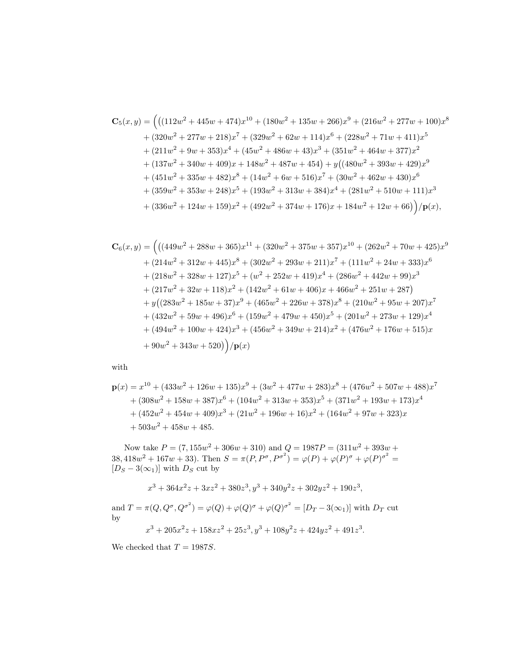$$
C_5(x,y) = (((112w^2 + 445w + 474)x^{10} + (180w^2 + 135w + 266)x^9 + (216w^2 + 277w + 100)x^8
$$
  
+  $(320w^2 + 277w + 218)x^7 + (329w^2 + 62w + 114)x^6 + (228w^2 + 71w + 411)x^5$   
+  $(211w^2 + 9w + 353)x^4 + (45w^2 + 486w + 43)x^3 + (351w^2 + 464w + 377)x^2$   
+  $(137w^2 + 340w + 409)x + 148w^2 + 487w + 454) + y((480w^2 + 393w + 429)x^9$   
+  $(451w^2 + 335w + 482)x^8 + (14w^2 + 6w + 516)x^7 + (30w^2 + 462w + 430)x^6$   
+  $(359w^2 + 353w + 248)x^5 + (193w^2 + 313w + 384)x^4 + (281w^2 + 510w + 111)x^3$   
+  $(336w^2 + 124w + 159)x^2 + (492w^2 + 374w + 176)x + 184w^2 + 12w + 66)) / p(x),$ 

$$
C_6(x,y) = (((449w^2 + 288w + 365)x^{11} + (320w^2 + 375w + 357)x^{10} + (262w^2 + 70w + 425)x^9
$$
  
+ (214w<sup>2</sup> + 312w + 445)x<sup>8</sup> + (302w<sup>2</sup> + 293w + 211)x<sup>7</sup> + (111w<sup>2</sup> + 24w + 333)x<sup>6</sup>  
+ (218w<sup>2</sup> + 328w + 127)x<sup>5</sup> + (w<sup>2</sup> + 252w + 419)x<sup>4</sup> + (286w<sup>2</sup> + 442w + 99)x<sup>3</sup>  
+ (217w<sup>2</sup> + 32w + 118)x<sup>2</sup> + (142w<sup>2</sup> + 61w + 406)x + 466w<sup>2</sup> + 251w + 287)  
+ y((283w<sup>2</sup> + 185w + 37)x<sup>9</sup> + (465w<sup>2</sup> + 226w + 378)x<sup>8</sup> + (210w<sup>2</sup> + 95w + 207)x<sup>7</sup>  
+ (432w<sup>2</sup> + 59w + 496)x<sup>6</sup> + (159w<sup>2</sup> + 479w + 450)x<sup>5</sup> + (201w<sup>2</sup> + 273w + 129)x<sup>4</sup>  
+ (494w<sup>2</sup> + 100w + 424)x<sup>3</sup> + (456w<sup>2</sup> + 349w + 214)x<sup>2</sup> + (476w<sup>2</sup> + 176w + 515)x  
+ 90w<sup>2</sup> + 343w + 520) / p(x)

with

$$
\mathbf{p}(x) = x^{10} + (433w^2 + 126w + 135)x^9 + (3w^2 + 477w + 283)x^8 + (476w^2 + 507w + 488)x^7
$$
  
+  $(308w^2 + 158w + 387)x^6 + (104w^2 + 313w + 353)x^5 + (371w^2 + 193w + 173)x^4$   
+  $(452w^2 + 454w + 409)x^3 + (21w^2 + 196w + 16)x^2 + (164w^2 + 97w + 323)x$   
+  $503w^2 + 458w + 485$ .

Now take  $P = (7, 155w^2 + 306w + 310)$  and  $Q = 1987P = (311w^2 + 393w +$ 38, 418 $w^2 + 167w + 33$ ). Then  $S = \pi(P, P^{\sigma}, P^{\sigma^2}) = \varphi(P) + \varphi(P)^{\sigma} + \varphi(P)^{\sigma^2} =$  $[D_S - 3(\infty_1)]$  with  $D_S$  cut by

$$
x^3 + 364x^2z + 3xz^2 + 380z^3
$$
\n
$$
y^3 + 340y^2z + 302yz^2 + 190z^3
$$

and  $T = \pi(Q, Q^{\sigma}, Q^{\sigma^2}) = \varphi(Q) + \varphi(Q)^{\sigma} + \varphi(Q)^{\sigma^2} = [D_T - 3(\infty_1)]$  with  $D_T$  cut by

$$
x^3 + 205x^2z + 158xz^2 + 25z^3, y^3 + 108y^2z + 424yz^2 + 491z^3.
$$

We checked that  $T = 1987S$ .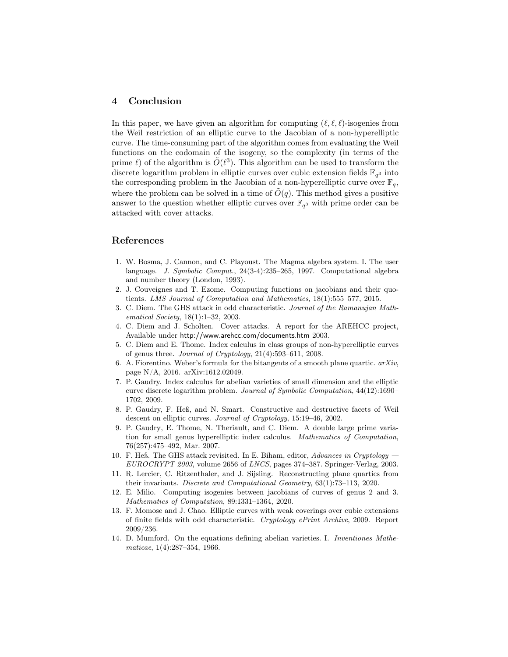### 4 Conclusion

In this paper, we have given an algorithm for computing  $(\ell, \ell, \ell)$ -isogenies from the Weil restriction of an elliptic curve to the Jacobian of a non-hyperelliptic curve. The time-consuming part of the algorithm comes from evaluating the Weil functions on the codomain of the isogeny, so the complexity (in terms of the prime  $\ell$ ) of the algorithm is  $\tilde{O}(\ell^3)$ . This algorithm can be used to transform the discrete logarithm problem in elliptic curves over cubic extension fields  $\mathbb{F}_{q^3}$  into the corresponding problem in the Jacobian of a non-hyperelliptic curve over  $\mathbb{F}_q$ , where the problem can be solved in a time of  $O(q)$ . This method gives a positive answer to the question whether elliptic curves over  $\mathbb{F}_{q^3}$  with prime order can be attacked with cover attacks.

### <span id="page-17-13"></span>References

- 1. W. Bosma, J. Cannon, and C. Playoust. The Magma algebra system. I. The user language. J. Symbolic Comput., 24(3-4):235–265, 1997. Computational algebra and number theory (London, 1993).
- <span id="page-17-10"></span>2. J. Couveignes and T. Ezome. Computing functions on jacobians and their quotients. LMS Journal of Computation and Mathematics, 18(1):555–577, 2015.
- <span id="page-17-2"></span>3. C. Diem. The GHS attack in odd characteristic. Journal of the Ramanujan Mathematical Society, 18(1):1–32, 2003.
- <span id="page-17-0"></span>4. C. Diem and J. Scholten. Cover attacks. A report for the AREHCC project, Available under http://www.arehcc.com/documents.htm 2003.
- <span id="page-17-6"></span>5. C. Diem and E. Thome. Index calculus in class groups of non-hyperelliptic curves of genus three. Journal of Cryptology, 21(4):593–611, 2008.
- <span id="page-17-11"></span>6. A. Fiorentino. Weber's formula for the bitangents of a smooth plane quartic.  $arXiv$ , page N/A, 2016. arXiv:1612.02049.
- <span id="page-17-7"></span>7. P. Gaudry. Index calculus for abelian varieties of small dimension and the elliptic curve discrete logarithm problem. Journal of Symbolic Computation, 44(12):1690– 1702, 2009.
- <span id="page-17-3"></span>8. P. Gaudry, F. Heß, and N. Smart. Constructive and destructive facets of Weil descent on elliptic curves. Journal of Cryptology, 15:19–46, 2002.
- <span id="page-17-1"></span>9. P. Gaudry, E. Thome, N. Theriault, and C. Diem. A double large prime variation for small genus hyperelliptic index calculus. Mathematics of Computation, 76(257):475–492, Mar. 2007.
- <span id="page-17-4"></span>10. F. Heß. The GHS attack revisited. In E. Biham, editor, Advances in Cryptology – EUROCRYPT 2003, volume 2656 of LNCS, pages 374–387. Springer-Verlag, 2003.
- <span id="page-17-12"></span>11. R. Lercier, C. Ritzenthaler, and J. Sijsling. Reconstructing plane quartics from their invariants. Discrete and Computational Geometry, 63(1):73–113, 2020.
- <span id="page-17-9"></span>12. E. Milio. Computing isogenies between jacobians of curves of genus 2 and 3. Mathematics of Computation, 89:1331–1364, 2020.
- <span id="page-17-5"></span>13. F. Momose and J. Chao. Elliptic curves with weak coverings over cubic extensions of finite fields with odd characteristic. Cryptology ePrint Archive, 2009. Report 2009/236.
- <span id="page-17-8"></span>14. D. Mumford. On the equations defining abelian varieties. I. Inventiones Mathematicae, 1(4):287–354, 1966.